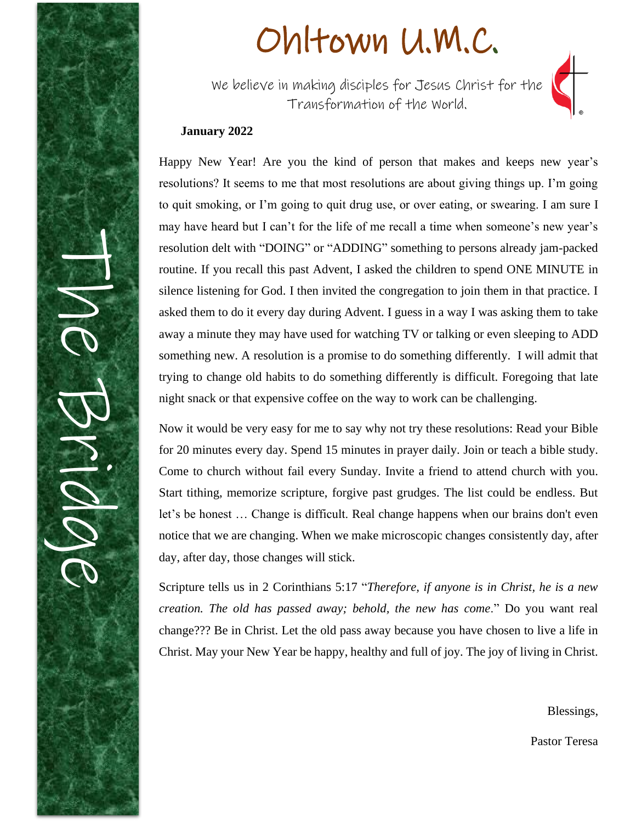

# Ohltown U.M.C.

We believe in making disciples for Jesus Christ for the Transformation of the World.



### **January 2022**

Happy New Year! Are you the kind of person that makes and keeps new year's resolutions? It seems to me that most resolutions are about giving things up. I'm going to quit smoking, or I'm going to quit drug use, or over eating, or swearing. I am sure I may have heard but I can't for the life of me recall a time when someone's new year's resolution delt with "DOING" or "ADDING" something to persons already jam-packed routine. If you recall this past Advent, I asked the children to spend ONE MINUTE in silence listening for God. I then invited the congregation to join them in that practice. I asked them to do it every day during Advent. I guess in a way I was asking them to take away a minute they may have used for watching TV or talking or even sleeping to ADD something new. A resolution is a promise to do something differently. I will admit that trying to change old habits to do something differently is difficult. Foregoing that late night snack or that expensive coffee on the way to work can be challenging.

Now it would be very easy for me to say why not try these resolutions: Read your Bible for 20 minutes every day. Spend 15 minutes in prayer daily. Join or teach a bible study. Come to church without fail every Sunday. Invite a friend to attend church with you. Start tithing, memorize scripture, forgive past grudges. The list could be endless. But let's be honest … Change is difficult. Real change happens when our brains don't even notice that we are changing. When we make microscopic changes consistently day, after day, after day, those changes will stick.

Scripture tells us in 2 Corinthians 5:17 "*Therefore, if anyone is in Christ, he is a new creation. The old has passed away; behold, the new has come*." Do you want real change??? Be in Christ. Let the old pass away because you have chosen to live a life in Christ. May your New Year be happy, healthy and full of joy. The joy of living in Christ.

Blessings,

Pastor Teresa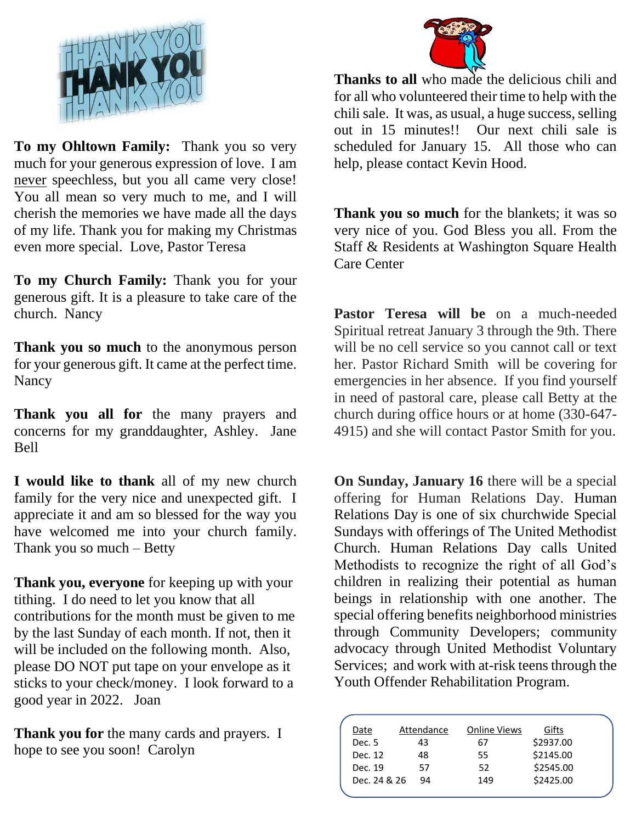

**To my Ohltown Family:** Thank you so very much for your generous expression of love. I am never speechless, but you all came very close! You all mean so very much to me, and I will cherish the memories we have made all the days of my life. Thank you for making my Christmas even more special. Love, Pastor Teresa

**To my Church Family:** Thank you for your generous gift. It is a pleasure to take care of the church. Nancy

**Thank you so much** to the anonymous person for your generous gift. It came at the perfect time. **Nancy** 

**Thank you all for** the many prayers and concerns for my granddaughter, Ashley. Jane Bell

**I would like to thank** all of my new church family for the very nice and unexpected gift. I appreciate it and am so blessed for the way you have welcomed me into your church family. Thank you so much – Betty

**Thank you, everyone** for keeping up with your tithing. I do need to let you know that all contributions for the month must be given to me by the last Sunday of each month. If not, then it will be included on the following month. Also, please DO NOT put tape on your envelope as it sticks to your check/money. I look forward to a good year in 2022. Joan

**Thank you for** the many cards and prayers. I hope to see you soon! Carolyn



**Thanks to all** who made the delicious chili and for all who volunteered their time to help with the chili sale. It was, as usual, a huge success, selling out in 15 minutes!! Our next chili sale is scheduled for January 15. All those who can help, please contact Kevin Hood.

**Thank you so much** for the blankets; it was so very nice of you. God Bless you all. From the Staff & Residents at Washington Square Health Care Center

**Pastor Teresa will be** on a much-needed Spiritual retreat January 3 through the 9th. There will be no cell service so you cannot call or text her. Pastor Richard Smith will be covering for emergencies in her absence. If you find yourself in need of pastoral care, please call Betty at the church during office hours or at home (330-647- 4915) and she will contact Pastor Smith for you.

**On Sunday, January 16** there will be a special offering for Human Relations Day. Human Relations Day is one of six churchwide Special Sundays with offerings of The United Methodist Church. Human Relations Day calls United Methodists to recognize the right of all God's children in realizing their potential as human beings in relationship with one another. The special offering benefits neighborhood ministries through Community Developers; community advocacy through United Methodist Voluntary Services; and work with at-risk teens through the Youth Offender Rehabilitation Program.

| Date         | Attendance | <b>Online Views</b> | Gifts     |  |
|--------------|------------|---------------------|-----------|--|
| Dec. 5       | 43         | 67                  | \$2937.00 |  |
| Dec. 12      | 48         | 55                  | \$2145.00 |  |
| Dec. 19      | 57         | 52                  | \$2545.00 |  |
| Dec. 24 & 26 | 94         | 149                 | \$2425.00 |  |
|              |            |                     |           |  |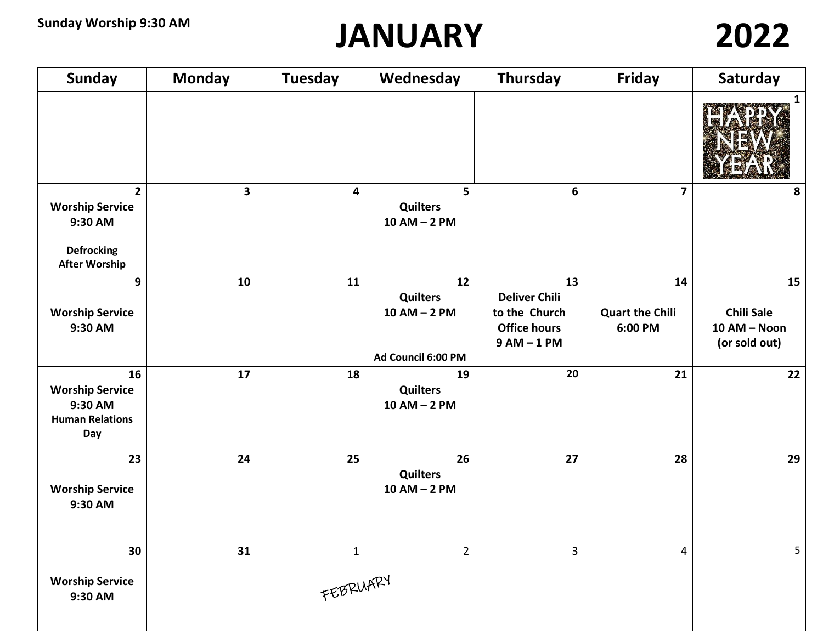## **JANUARY 2022**

| <b>Sunday</b>                                                                                 | <b>Monday</b>           | <b>Tuesday</b>           | Wednesday                                                       | Thursday                                                                          | Friday                                  | Saturday                                                 |
|-----------------------------------------------------------------------------------------------|-------------------------|--------------------------|-----------------------------------------------------------------|-----------------------------------------------------------------------------------|-----------------------------------------|----------------------------------------------------------|
|                                                                                               |                         |                          |                                                                 |                                                                                   |                                         | $\mathbf{1}$                                             |
| $2^{\circ}$<br><b>Worship Service</b><br>9:30 AM<br><b>Defrocking</b><br><b>After Worship</b> | $\overline{\mathbf{3}}$ | 4                        | 5<br><b>Quilters</b><br>$10$ AM $-$ 2 PM                        | 6                                                                                 | $\overline{\mathbf{z}}$                 | 8                                                        |
| 9<br><b>Worship Service</b><br>9:30 AM                                                        | 10                      | 11                       | 12<br><b>Quilters</b><br>$10$ AM $-$ 2 PM<br>Ad Council 6:00 PM | 13<br><b>Deliver Chili</b><br>to the Church<br><b>Office hours</b><br>$9AM - 1PM$ | 14<br><b>Quart the Chili</b><br>6:00 PM | 15<br><b>Chili Sale</b><br>10 AM - Noon<br>(or sold out) |
| 16<br><b>Worship Service</b><br>9:30 AM<br><b>Human Relations</b><br>Day                      | 17                      | 18                       | 19<br><b>Quilters</b><br>$10$ AM $-$ 2 PM                       | 20                                                                                | 21                                      | 22                                                       |
| 23<br><b>Worship Service</b><br>9:30 AM                                                       | 24                      | 25                       | 26<br><b>Quilters</b><br>$10$ AM $-$ 2 PM                       | 27                                                                                | 28                                      | 29                                                       |
| 30<br><b>Worship Service</b><br>9:30 AM                                                       | 31                      | $\mathbf{1}$<br>FEBRUARY | $\overline{2}$                                                  | $\overline{3}$                                                                    | $\overline{4}$                          | 5                                                        |